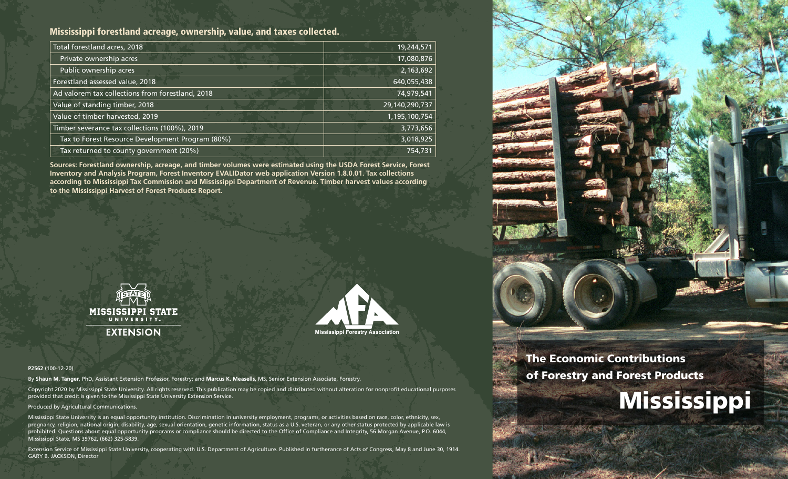# Mississippi forestland acreage, ownership, value, and taxes collected.

| Total forestland acres, 2018                     | 19,244,571     |
|--------------------------------------------------|----------------|
| Private ownership acres                          | 17,080,876     |
| Public ownership acres                           | 2,163,692      |
| Forestland assessed value, 2018                  | 640,055,438    |
| Ad valorem tax collections from forestland, 2018 | 74,979,541     |
| Value of standing timber, 2018                   | 29,140,290,737 |
| Value of timber harvested, 2019                  | 1,195,100,754  |
| Timber severance tax collections (100%), 2019    | 3,773,656      |
| Tax to Forest Resource Development Program (80%) | 3,018,925      |
| Tax returned to county government (20%)          | 754,731        |

**Sources: Forestland ownership, acreage, and timber volumes were estimated using the USDA Forest Service, Forest Inventory and Analysis Program, Forest Inventory EVALIDator web application Version 1.8.0.01. Tax collections according to Mississippi Tax Commission and Mississippi Department of Revenue. Timber harvest values according to the Mississippi Harvest of Forest Products Report.**





#### **P2562** (100-12-20)

By **Shaun M. Tanger**, PhD, Assistant Extension Professor, Forestry; and **Marcus K. Measells**, MS, Senior Extension Associate, Forestry.

Copyright 2020 by Mississippi State University. All rights reserved. This publication may be copied and distributed without alteration for nonprofit educational purposes provided that credit is given to the Mississippi State University Extension Service.

Produced by Agricultural Communications.

Mississippi State University is an equal opportunity institution. Discrimination in university employment, programs, or activities based on race, color, ethnicity, sex, pregnancy, religion, national origin, disability, age, sexual orientation, genetic information, status as a U.S. veteran, or any other status protected by applicable law is prohibited. Questions about equal opportunity programs or compliance should be directed to the Office of Compliance and Integrity, 56 Morgan Avenue, P.O. 6044, Mississippi State, MS 39762, (662) 325-5839.

Extension Service of Mississippi State University, cooperating with U.S. Department of Agriculture. Published in furtherance of Acts of Congress, May 8 and June 30, 1914. GARY B. JACKSON, Director



The Economic Contributions of Forestry and Forest Products